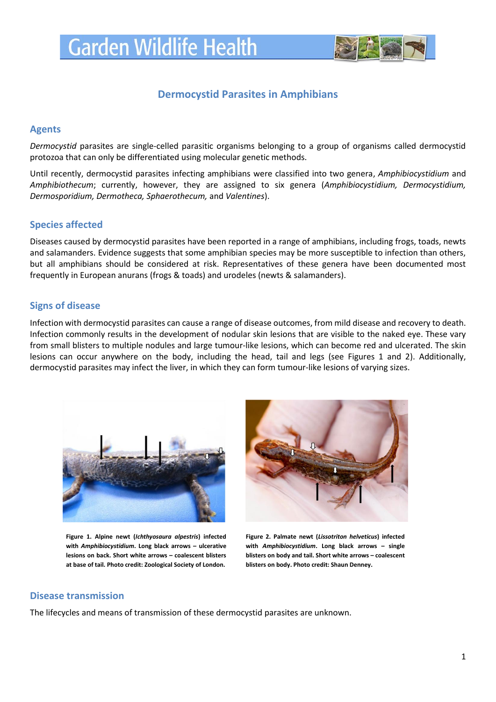

# **Dermocystid Parasites in Amphibians**

#### **Agents**

*Dermocystid* parasites are single-celled parasitic organisms belonging to a group of organisms called dermocystid protozoa that can only be differentiated using molecular genetic methods.

Until recently, dermocystid parasites infecting amphibians were classified into two genera, *Amphibiocystidium* and *Amphibiothecum*; currently, however, they are assigned to six genera (*Amphibiocystidium, Dermocystidium, Dermosporidium, Dermotheca, Sphaerothecum,* and *Valentines*).

## **Species affected**

Diseases caused by dermocystid parasites have been reported in a range of amphibians, including frogs, toads, newts and salamanders. Evidence suggests that some amphibian species may be more susceptible to infection than others, but all amphibians should be considered at risk. Representatives of these genera have been documented most frequently in European anurans (frogs & toads) and urodeles (newts & salamanders).

## **Signs of disease**

Infection with dermocystid parasites can cause a range of disease outcomes, from mild disease and recovery to death. Infection commonly results in the development of nodular skin lesions that are visible to the naked eye. These vary from small blisters to multiple nodules and large tumour-like lesions, which can become red and ulcerated. The skin lesions can occur anywhere on the body, including the head, tail and legs (see Figures 1 and 2). Additionally, dermocystid parasites may infect the liver, in which they can form tumour-like lesions of varying sizes.



**Figure 1. Alpine newt (***Ichthyosaura alpestris***) infected with** *Amphibiocystidium***. Long black arrows – ulcerative lesions on back. Short white arrows – coalescent blisters at base of tail. Photo credit: Zoological Society of London.**



**Figure 2. Palmate newt (***Lissotriton helveticus***) infected with** *Amphibiocystidium***. Long black arrows – single blisters on body and tail. Short white arrows – coalescent blisters on body. Photo credit: Shaun Denney.**

### **Disease transmission**

The lifecycles and means of transmission of these dermocystid parasites are unknown.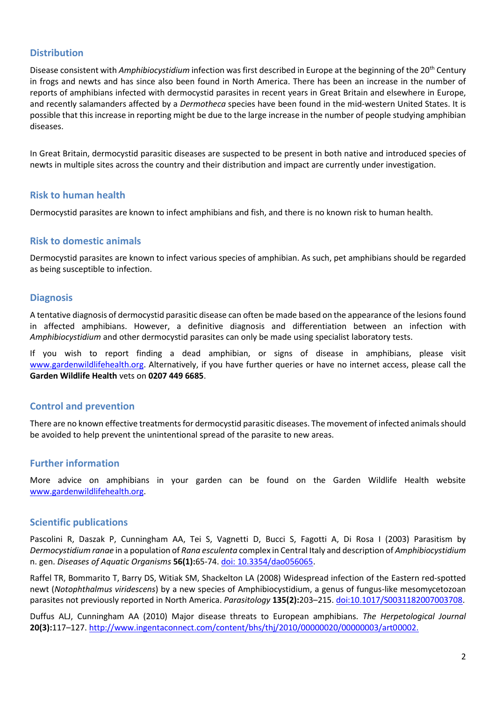## **Distribution**

Disease consistent with *Amphibiocystidium* infection was first described in Europe at the beginning of the 20th Century in frogs and newts and has since also been found in North America. There has been an increase in the number of reports of amphibians infected with dermocystid parasites in recent years in Great Britain and elsewhere in Europe, and recently salamanders affected by a *Dermotheca* species have been found in the mid-western United States. It is possible that this increase in reporting might be due to the large increase in the number of people studying amphibian diseases.

In Great Britain, dermocystid parasitic diseases are suspected to be present in both native and introduced species of newts in multiple sites across the country and their distribution and impact are currently under investigation.

### **Risk to human health**

Dermocystid parasites are known to infect amphibians and fish, and there is no known risk to human health.

### **Risk to domestic animals**

Dermocystid parasites are known to infect various species of amphibian. As such, pet amphibians should be regarded as being susceptible to infection.

### **Diagnosis**

A tentative diagnosis of dermocystid parasitic disease can often be made based on the appearance of the lesions found in affected amphibians. However, a definitive diagnosis and differentiation between an infection with *Amphibiocystidium* and other dermocystid parasites can only be made using specialist laboratory tests.

If you wish to report finding a dead amphibian, or signs of disease in amphibians, please visit [www.gardenwildlifehealth.org.](http://www.gardenwildlifehealth.org/) Alternatively, if you have further queries or have no internet access, please call the **Garden Wildlife Health** vets on **0207 449 6685**.

### **Control and prevention**

There are no known effective treatments for dermocystid parasitic diseases. The movement of infected animals should be avoided to help prevent the unintentional spread of the parasite to new areas.

## **Further information**

More advice on amphibians in your garden can be found on the Garden Wildlife Health website [www.gardenwildlifehealth.org.](http://www.gardenwildlifehealth.org/)

### **Scientific publications**

Pascolini R, Daszak P, Cunningham AA, Tei S, Vagnetti D, Bucci S, Fagotti A, Di Rosa I (2003) Parasitism by *Dermocystidium ranae* in a population of *Rana esculenta* complex in Central Italy and description of *Amphibiocystidium*  n. gen. *Diseases of Aquatic Organisms* **56(1):**65-74. [doi: 10.3354/dao056065.](http://www.ncbi.nlm.nih.gov/pubmed/?term=Parasitism+by+Dermocystidium+ranae+in+a+population+of+Rana+esculenta+complex+in+Central+Italy)

Raffel TR, Bommarito T, Barry DS, Witiak SM, Shackelton LA (2008) Widespread infection of the Eastern red-spotted newt (*Notophthalmus viridescens*) by a new species of Amphibiocystidium, a genus of fungus-like mesomycetozoan parasites not previously reported in North America. *Parasitology* **135(2):**203–215[. doi:10.1017/S0031182007003708.](http://www.ncbi.nlm.nih.gov/pubmed/?term=Widespread+infection+of+the+Eastern+red-spotted+newt+(Notophthalmus+viridescens)+by+a+new)

Duffus ALJ, Cunningham AA (2010) Major disease threats to European amphibians. *The Herpetological Journal* **20(3):**117–127. [http://www.ingentaconnect.com/content/bhs/thj/2010/00000020/00000003/art00002.](http://www.ingentaconnect.com/content/bhs/thj/2010/00000020/00000003/art00002)